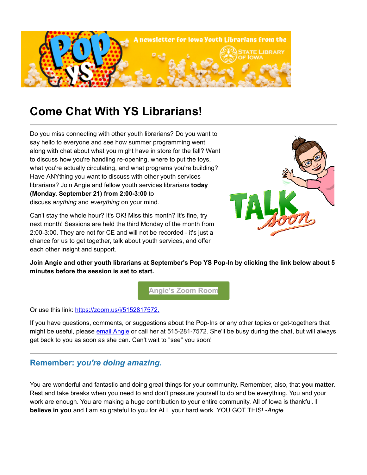

## **Come Chat With YS Librarians!**

Do you miss connecting with other youth librarians? Do you want to say hello to everyone and see how summer programming went along with chat about what you might have in store for the fall? Want to discuss how you're handling re-opening, where to put the toys, what you're actually circulating, and what programs you're building? Have ANYthing you want to discuss with other youth services librarians? Join Angie and fellow youth services librarians **today (Monday, September 21) from 2:00-3:00** to discuss *anything* and *everything* on your mind.



Can't stay the whole hour? It's OK! Miss this month? It's fine, try next month! Sessions are held the third Monday of the month from 2:00-3:00. They are not for CE and will not be recorded - it's just a chance for us to get together, talk about youth services, and offer each other insight and support.

**Join Angie and other youth librarians at September's Pop YS Pop-In by clicking the link below about 5 minutes before the session is set to start.**

**[Angie's Zoom Room](https://zoom.us/j/5152817572?utm_medium=email&utm_source=govdelivery)**

Or use this link: [https://zoom.us/j/5152817572.](https://zoom.us/j/5152817572?utm_medium=email&utm_source=govdelivery)

If you have questions, comments, or suggestions about the Pop-Ins or any other topics or get-togethers that might be useful, please [email Angie](mailto:angie.manfredi@iowa.gov) or call her at 515-281-7572. She'll be busy during the chat, but will always get back to you as soon as she can. Can't wait to "see" you soon!

## **Remember:** *you're doing amazing.*

You are wonderful and fantastic and doing great things for your community. Remember, also, that **you matter**. Rest and take breaks when you need to and don't pressure yourself to do and be everything. You and your work are enough. You are making a huge contribution to your entire community. All of Iowa is thankful. **I believe in you** and I am so grateful to you for ALL your hard work. YOU GOT THIS! -*Angie*